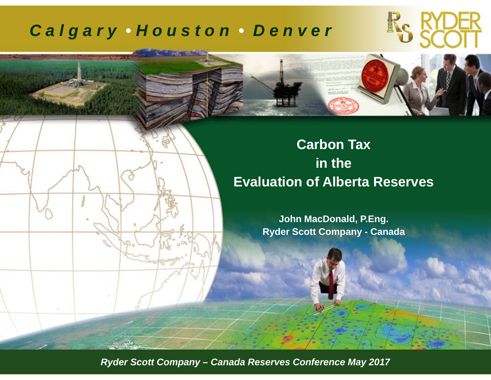### *C a l g a r y • H o u s t o n • D e n v e r*

### **Carbon Tax in the Evaluation of Alberta Reserves**

**John MacDonald, P.Eng. Ryder Scott Company - Canada**

*RSC Reserves Conference September 2011 ©Ryder Scott Company, L.P. Ryder Scott Company – Canada Reserves Conference May 2017*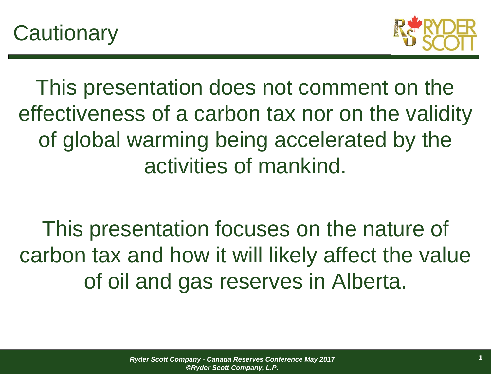



This presentation does not comment on the effectiveness of a carbon tax nor on the validity of global warming being accelerated by the activities of mankind.

This presentation focuses on the nature of carbon tax and how it will likely affect the value of oil and gas reserves in Alberta.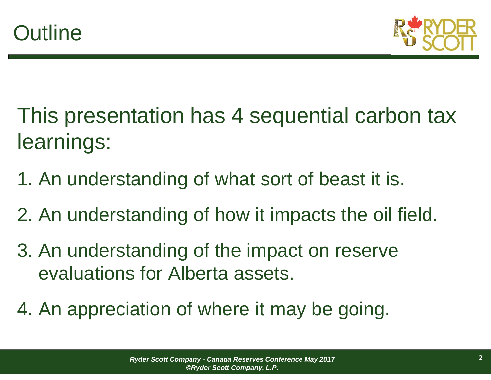

- This presentation has 4 sequential carbon tax learnings:
- 1. An understanding of what sort of beast it is.
- 2. An understanding of how it impacts the oil field.
- 3. An understanding of the impact on reserve evaluations for Alberta assets.
- 4. An appreciation of where it may be going.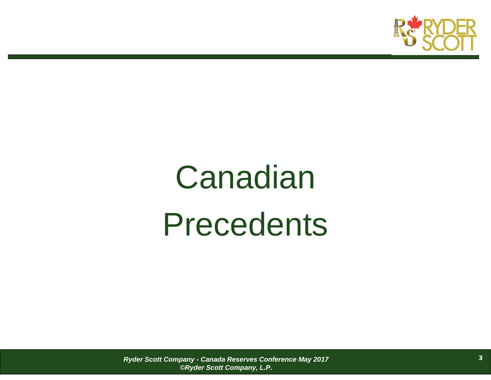

# Canadian Precedents

*Ryder Scott Company - Canada Reserves Conference May 2017 ©Ryder Scott Company, L.P.*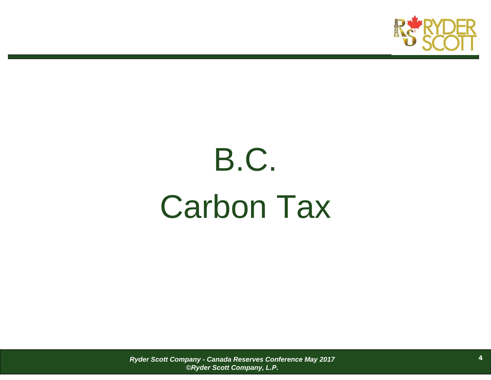

# B.C. Carbon Tax

*Ryder Scott Company - Canada Reserves Conference May 2017 ©Ryder Scott Company, L.P.*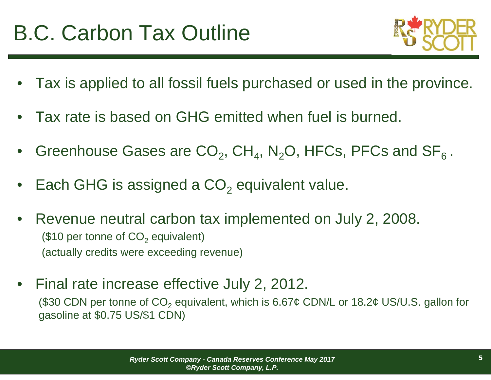

- •Tax is applied to all fossil fuels purchased or used in the province.
- •Tax rate is based on GHG emitted when fuel is burned.
- •Greenhouse Gases are  $CO_2$ , CH<sub>4</sub>, N<sub>2</sub>O, HFCs, PFCs and SF<sub>6</sub>.
- •Each GHG is assigned a CO<sub>2</sub> equivalent value.
- • Revenue neutral carbon tax implemented on July 2, 2008. (\$10 per tonne of CO $_2$  equivalent) (actually credits were exceeding revenue)
- • Final rate increase effective July 2, 2012. (\$30 CDN per tonne of CO $_2$  equivalent, which is 6.67¢ CDN/L or 18.2¢ US/U.S. gallon for gasoline at \$0.75 US/\$1 CDN)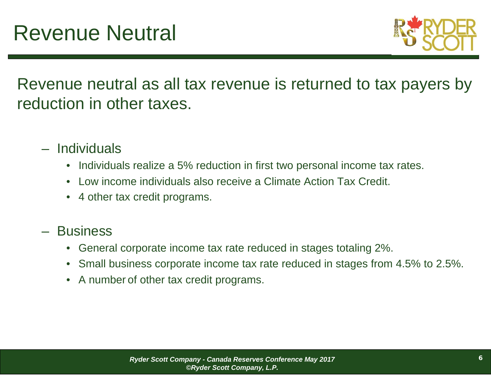

Revenue neutral as all tax revenue is returned to tax payers by reduction in other taxes.

- Individuals
	- Individuals realize a 5% reduction in first two personal income tax rates.
	- •Low income individuals also receive a Climate Action Tax Credit.
	- 4 other tax credit programs.
- Business
	- General corporate income tax rate reduced in stages totaling 2%.
	- $\bullet$ Small business corporate income tax rate reduced in stages from 4.5% to 2.5%.
	- A number of other tax credit programs.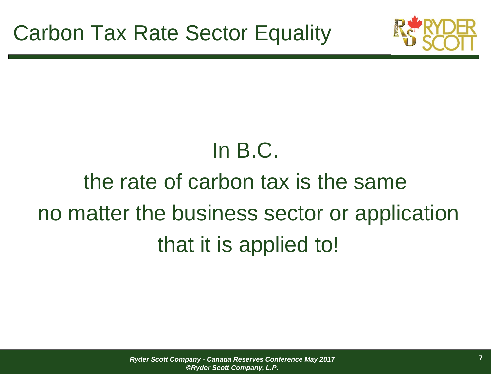

## In B.C.

## the rate of carbon tax is the sameno matter the business sector or application that it is applied to!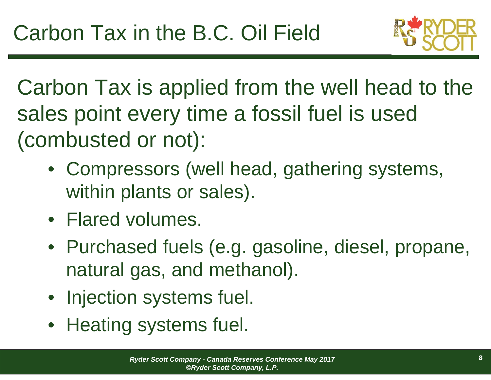

Carbon Tax is applied from the well head to the sales point every time a fossil fuel is used (combusted or not):

- Compressors (well head, gathering systems, within plants or sales).
- Flared volumes.
- Purchased fuels (e.g. gasoline, diesel, propane, natural gas, and methanol).
- Injection systems fuel.
- Heating systems fuel.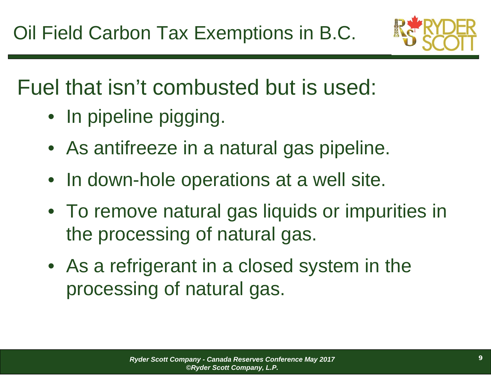

## Fuel that isn't combusted but is used:

- In pipeline pigging.
- As antifreeze in a natural gas pipeline.
- In down-hole operations at a well site.
- To remove natural gas liquids or impurities in the processing of natural gas.
- As a refrigerant in a closed system in the processing of natural gas.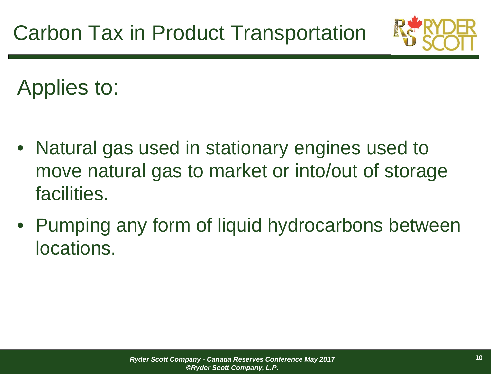

Applies to:

- $\bullet$  Natural gas used in stationary engines used to move natural gas to market or into/out of storage facilities.
- Pumping any form of liquid hydrocarbons between locations.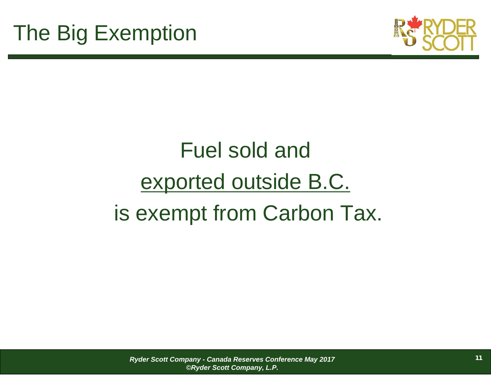

## Fuel sold and exported outside B.C. is exempt from Carbon Tax.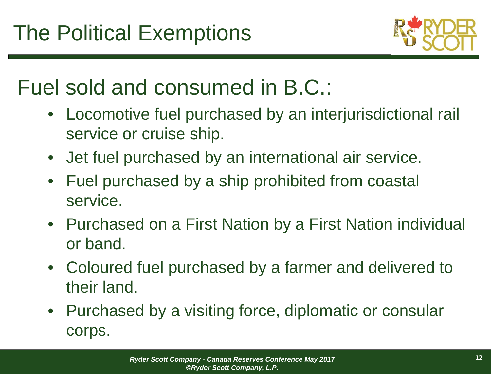

## Fuel sold and consumed in B.C.:

- Locomotive fuel purchased by an interjurisdictional rail service or cruise ship.
- Jet fuel purchased by an international air service.
- $\bullet$  Fuel purchased by a ship prohibited from coastal service.
- Purchased on a First Nation by a First Nation individual or band.
- Coloured fuel purchased by a farmer and delivered to their land.
- Purchased by a visiting force, diplomatic or consular corps.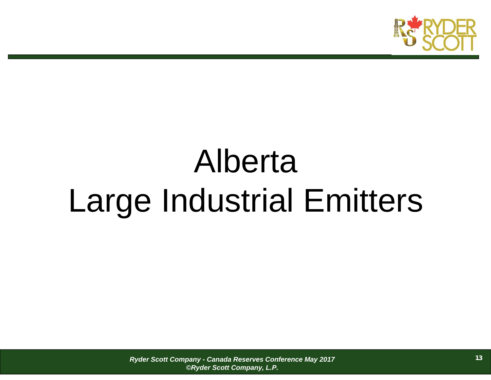

# Alberta Large Industrial Emitters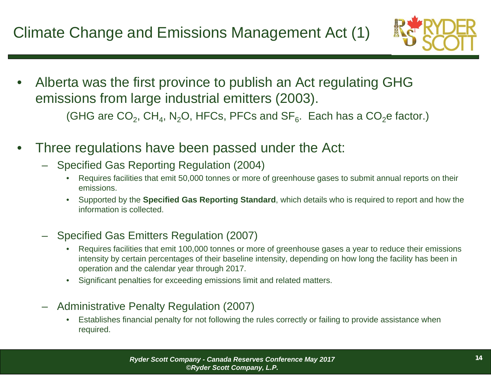

- • Alberta was the first province to publish an Act regulating GHG emissions from large industrial emitters (2003). (GHG are CO $_2$ , CH $_4$ , N $_2$ O, HFCs, PFCs and SF $_6$ . Each has a CO $_2$ e factor.)
- • Three regulations have been passed under the Act:
	- Specified Gas Reporting Regulation (2004)
		- • Requires facilities that emit 50,000 tonnes or more of greenhouse gases to submit annual reports on their emissions.
		- • Supported by the **Specified Gas Reporting Standard**, which details who is required to report and how the information is collected.
	- Specified Gas Emitters Regulation (2007)
		- • Requires facilities that emit 100,000 tonnes or more of greenhouse gases a year to reduce their emissions intensity by certain percentages of their baseline intensity, depending on how long the facility has been in operation and the calendar year through 2017.
		- •Significant penalties for exceeding emissions limit and related matters.
	- Administrative Penalty Regulation (2007)
		- • Establishes financial penalty for not following the rules correctly or failing to provide assistance when required.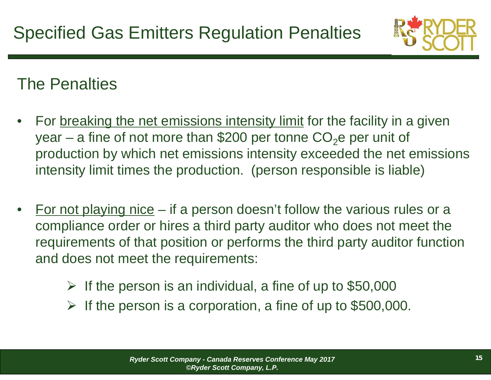

### The Penalties

- •For breaking the net emissions intensity limit for the facility in a given year – a fine of not more than \$200 per tonne CO<sub>2</sub>e per unit of production by which net emissions intensity exceeded the net emissions intensity limit times the production. (person responsible is liable)
- • For not playing nice – if a person doesn't follow the various rules or a compliance order or hires a third party auditor who does not meet the requirements of that position or performs the third party auditor function and does not meet the requirements:
	- $\blacktriangleright$ If the person is an individual, a fine of up to \$50,000
	- $\blacktriangleright$ If the person is a corporation, a fine of up to \$500,000.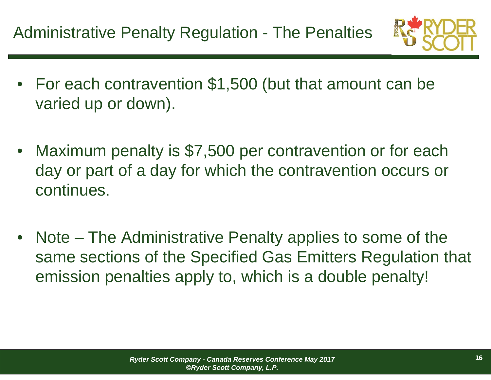

- For each contravention \$1,500 (but that amount can be varied up or down).
- Maximum penalty is \$7,500 per contravention or for each day or part of a day for which the contravention occurs or continues.
- • Note – The Administrative Penalty applies to some of the same sections of the Specified Gas Emitters Regulation that emission penalties apply to, which is a double penalty!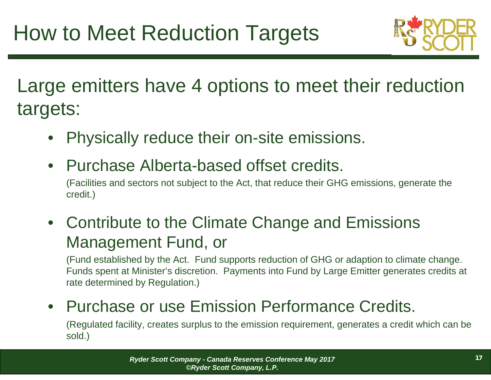

Large emitters have 4 options to meet their reduction targets:

- •Physically reduce their on-site emissions.
- Purchase Alberta-based offset credits.

(Facilities and sectors not subject to the Act, that reduce their GHG emissions, generate the credit.)

• Contribute to the Climate Change and Emissions Management Fund, or

(Fund established by the Act. Fund supports reduction of GHG or adaption to climate change. Funds spent at Minister's discretion. Payments into Fund by Large Emitter generates credits at rate determined by Regulation.)

### • Purchase or use Emission Performance Credits.

(Regulated facility, creates surplus to the emission requirement, generates a credit which can be sold.)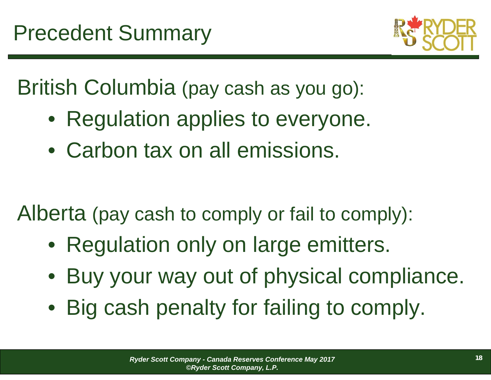

British Columbia (pay cash as you go):

- Regulation applies to everyone.
- Carbon tax on all emissions.

Alberta (pay cash to comply or fail to comply):

- Regulation only on large emitters.
- $\bullet$ Buy your way out of physical compliance.
- Big cash penalty for failing to comply.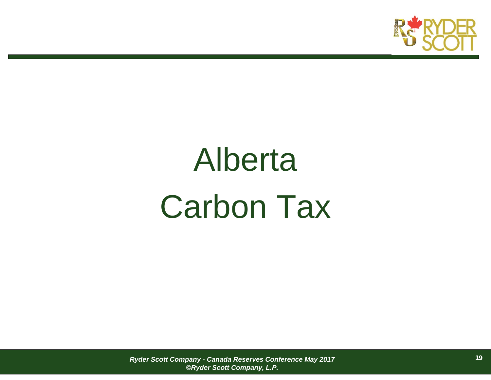

# Alberta Carbon Tax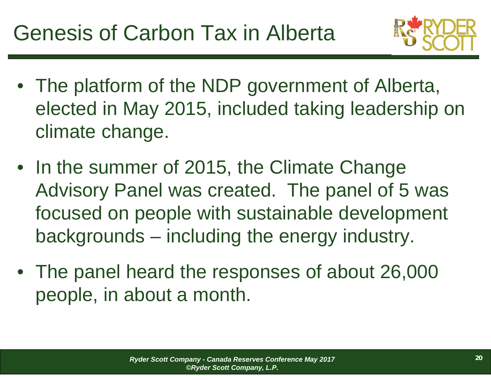

- The platform of the NDP government of Alberta, elected in May 2015, included taking leadership on climate change.
- In the summer of 2015, the Climate Change Advisory Panel was created. The panel of 5 was focused on people with sustainable development backgrounds – including the energy industry.
- The panel heard the responses of about 26,000 people, in about a month.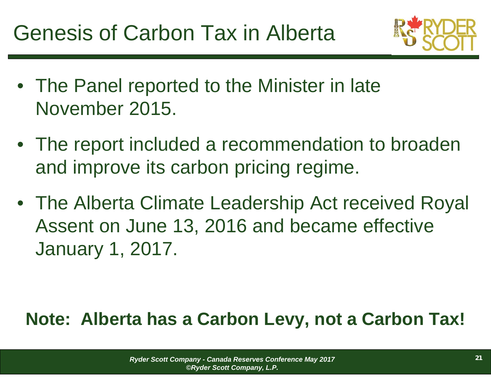

- The Panel reported to the Minister in late November 2015.
- The report included a recommendation to broaden and improve its carbon pricing regime.
- The Alberta Climate Leadership Act received Royal Assent on June 13, 2016 and became effective January 1, 2017.

### **Note: Alberta has a Carbon Levy, not a Carbon Tax!**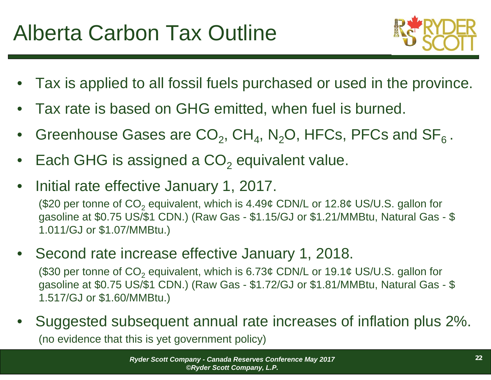

- •Tax is applied to all fossil fuels purchased or used in the province.
- •Tax rate is based on GHG emitted, when fuel is burned.
- •Greenhouse Gases are  $CO_2$ , CH<sub>4</sub>, N<sub>2</sub>O, HFCs, PFCs and SF<sub>6</sub>.
- •Each GHG is assigned a CO<sub>2</sub> equivalent value.
- $\bullet$ Initial rate effective January 1, 2017.

(\$20 per tonne of CO<sub>2</sub> equivalent, which is 4.49¢ CDN/L or 12.8¢ US/U.S. gallon for gasoline at \$0.75 US/\$1 CDN.) (Raw Gas - \$1.15/GJ or \$1.21/MMBtu, Natural Gas - \$ 1.011/GJ or \$1.07/MMBtu.)

• Second rate increase effective January 1, 2018.

(\$30 per tonne of CO<sub>2</sub> equivalent, which is 6.73¢ CDN/L or 19.1¢ US/U.S. gallon for gasoline at \$0.75 US/\$1 CDN.) (Raw Gas - \$1.72/GJ or \$1.81/MMBtu, Natural Gas - \$ 1.517/GJ or \$1.60/MMBtu.)

• Suggested subsequent annual rate increases of inflation plus 2%. (no evidence that this is yet government policy)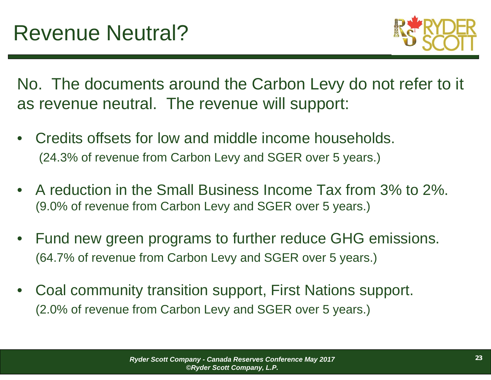

No. The documents around the Carbon Levy do not refer to it as revenue neutral. The revenue will support:

- • Credits offsets for low and middle income households. (24.3% of revenue from Carbon Levy and SGER over 5 years.)
- A reduction in the Small Business Income Tax from 3% to 2%. (9.0% of revenue from Carbon Levy and SGER over 5 years.)
- • Fund new green programs to further reduce GHG emissions. (64.7% of revenue from Carbon Levy and SGER over 5 years.)
- • Coal community transition support, First Nations support. (2.0% of revenue from Carbon Levy and SGER over 5 years.)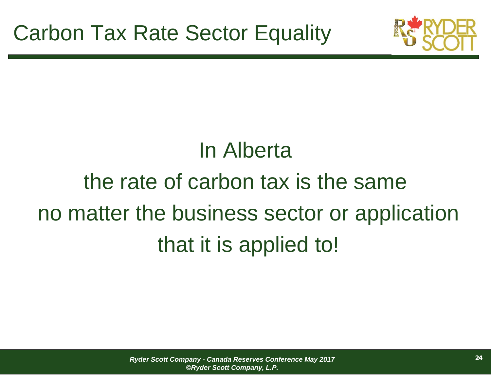

## In Alberta the rate of carbon tax is the sameno matter the business sector or application that it is applied to!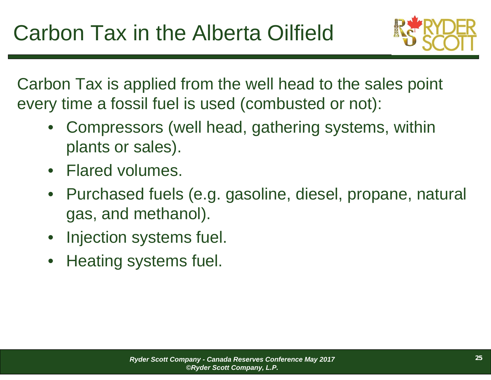

Carbon Tax is applied from the well head to the sales point every time a fossil fuel is used (combusted or not):

- $\bullet$  Compressors (well head, gathering systems, within plants or sales).
- Flared volumes.
- $\bullet$  Purchased fuels (e.g. gasoline, diesel, propane, natural gas, and methanol).
- $\bullet$ Injection systems fuel.
- $\bullet$ Heating systems fuel.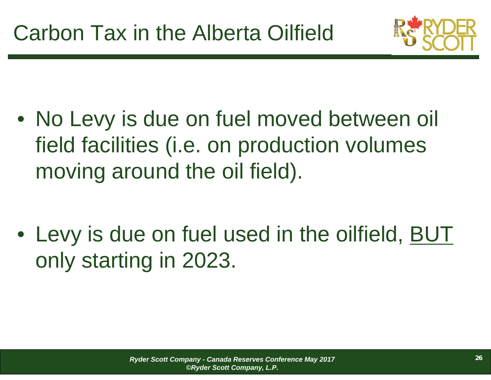

- No Levy is due on fuel moved between oil field facilities (i.e. on production volumes moving around the oil field).
- Levy is due on fuel used in the oilfield, BUT only starting in 2023.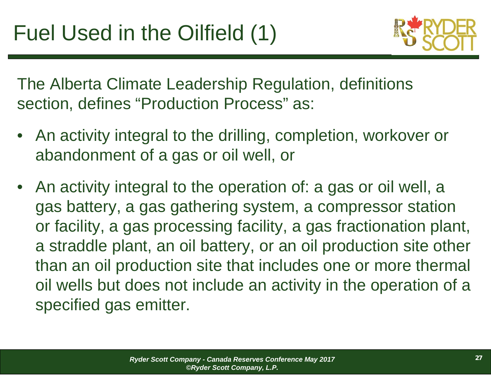

The Alberta Climate Leadership Regulation, definitions section, defines "Production Process" as:

- • An activity integral to the drilling, completion, workover or abandonment of a gas or oil well, or
- An activity integral to the operation of: a gas or oil well, a gas battery, a gas gathering system, a compressor station or facility, a gas processing facility, a gas fractionation plant, a straddle plant, an oil battery, or an oil production site other than an oil production site that includes one or more thermal oil wells but does not include an activity in the operation of a specified gas emitter.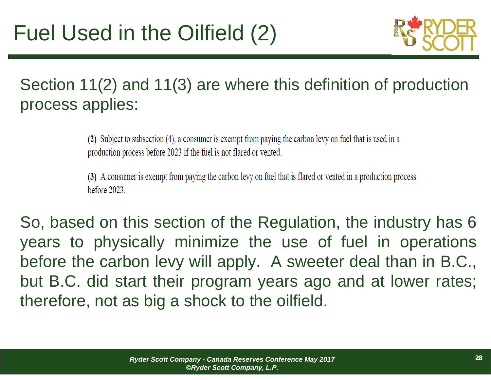

Section 11(2) and 11(3) are where this definition of production process applies:

> (2) Subject to subsection (4), a consumer is exempt from paying the carbon levy on fuel that is used in a production process before 2023 if the fuel is not flared or vented.

(3) A consumer is exempt from paying the carbon levy on fuel that is flared or vented in a production process before  $2023$ .

So, based on this section of the Regulation, the industry has 6 years to physically minimize the use of fuel in operations before the carbon levy will apply. A sweeter deal than in B.C., but B.C. did start their program years ago and at lower rates; therefore, not as big <sup>a</sup> shock to the oilfield.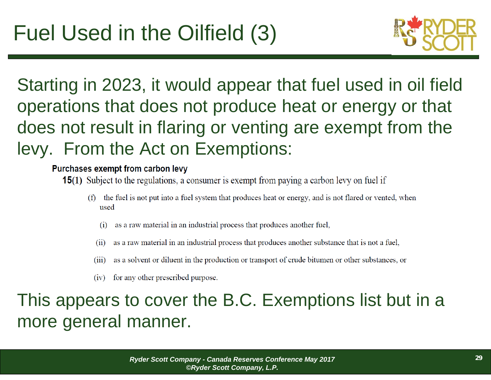

Starting in 2023, it would appear that fuel used in oil field operations that does not produce heat or energy or that does not result in flaring or venting are exempt from the levy. From the Act on Exemptions:

#### Purchases exempt from carbon levy

- **15(1)** Subject to the regulations, a consumer is exempt from paying a carbon levy on fuel if
	- (f) the fuel is not put into a fuel system that produces heat or energy, and is not flared or vented, when used
		- as a raw material in an industrial process that produces another fuel,
		- as a raw material in an industrial process that produces another substance that is not a fuel,  $(i)$
		- as a solvent or diluent in the production or transport of crude bitumen or other substances, or  $(iii)$
		- for any other prescribed purpose.  $(iv)$

### This appears to cover the B.C. Exemptions list but in a more general manner.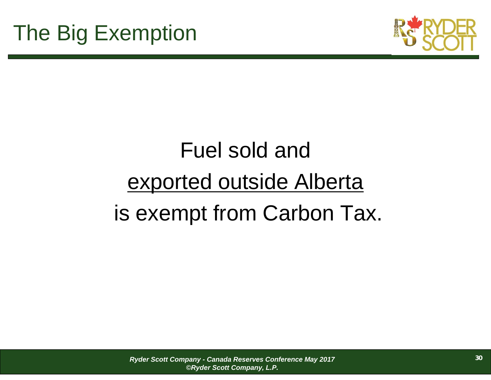

## Fuel sold and exported outside Alberta is exempt from Carbon Tax.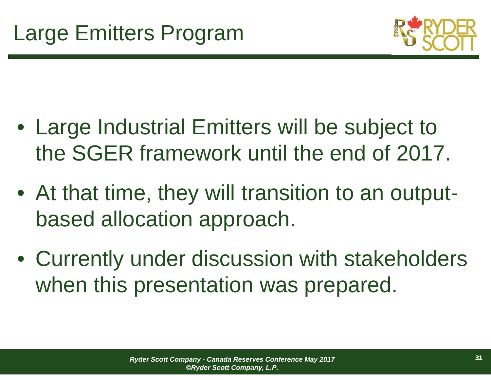

- Large Industrial Emitters will be subject to the SGER framework until the end of 2017.
- At that time, they will transition to an outputbased allocation approach.
- Currently under discussion with stakeholders when this presentation was prepared.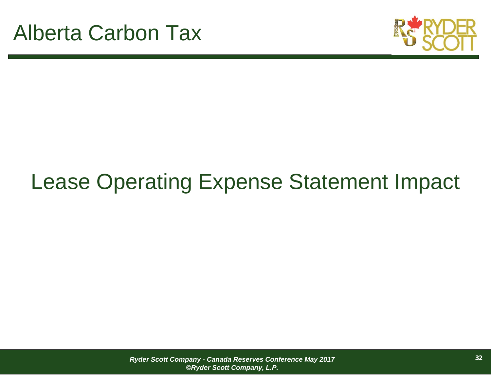

## Lease Operating Expense Statement Impact

*Ryder Scott Company - Canada Reserves Conference May 2017 ©Ryder Scott Company, L.P.*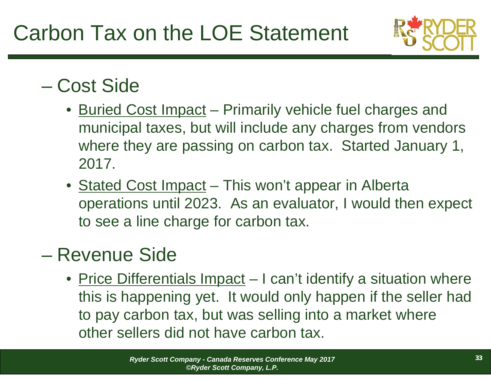

### – Cost Side

- Buried Cost Impact Primarily vehicle fuel charges and municipal taxes, but will include any charges from vendors where they are passing on carbon tax. Started January 1, 2017.
- Stated Cost Impact This won't appear in Alberta operations until 2023. As an evaluator, I would then expect to see a line charge for carbon tax.

### – Revenue Side

• Price Differentials Impact – I can't identify a situation where this is happening yet. It would only happen if the seller had to pay carbon tax, but was selling into a market where other sellers did not have carbon tax.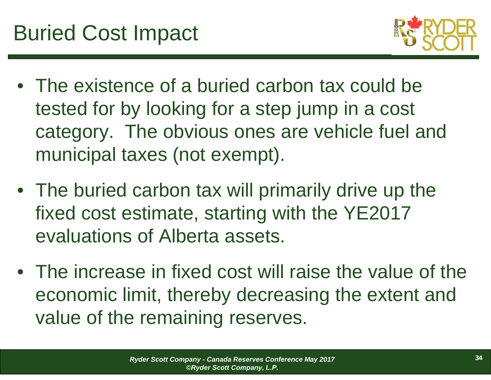

- The existence of a buried carbon tax could be tested for by looking for a step jump in a cost category. The obvious ones are vehicle fuel and municipal taxes (not exempt).
- The buried carbon tax will primarily drive up the fixed cost estimate, starting with the YE2017 evaluations of Alberta assets.
- The increase in fixed cost will raise the value of the economic limit, thereby decreasing the extent and value of the remaining reserves.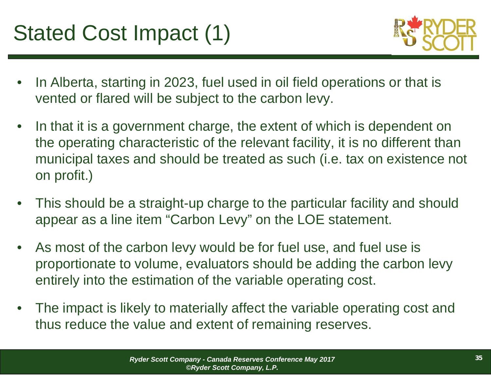## Stated Cost Impact (1)



- • In Alberta, starting in 2023, fuel used in oil field operations or that is vented or flared will be subject to the carbon levy.
- • In that it is a government charge, the extent of which is dependent on the operating characteristic of the relevant facility, it is no different than municipal taxes and should be treated as such (i.e. tax on existence not on profit.)
- • This should be a straight-up charge to the particular facility and should appear as a line item "Carbon Levy" on the LOE statement.
- $\bullet$  As most of the carbon levy would be for fuel use, and fuel use is proportionate to volume, evaluators should be adding the carbon levy entirely into the estimation of the variable operating cost.
- • The impact is likely to materially affect the variable operating cost and thus reduce the value and extent of remaining reserves.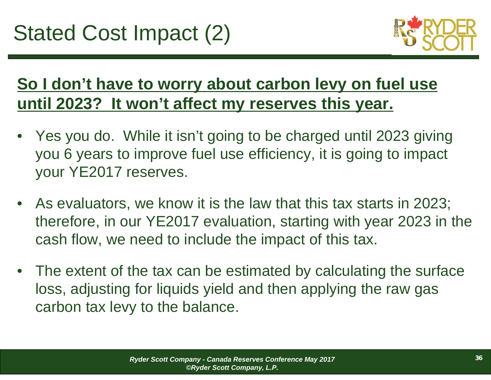

### **So I don't have to worry about carbon levy on fuel use until 2023? It won't affect my reserves this year.**

- • Yes you do. While it isn't going to be charged until 2023 giving you 6 years to improve fuel use efficiency, it is going to impact your YE2017 reserves.
- As evaluators, we know it is the law that this tax starts in 2023; therefore, in our YE2017 evaluation, starting with year 2023 in the cash flow, we need to include the impact of this tax.
- The extent of the tax can be estimated by calculating the surface loss, adjusting for liquids yield and then applying the raw gas carbon tax levy to the balance.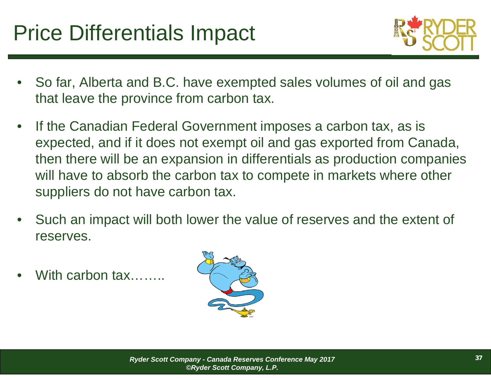## Price Differentials Impact



- • So far, Alberta and B.C. have exempted sales volumes of oil and gas that leave the province from carbon tax.
- • If the Canadian Federal Government imposes a carbon tax, as is expected, and if it does not exempt oil and gas exported from Canada, then there will be an expansion in differentials as production companies will have to absorb the carbon tax to compete in markets where other suppliers do not have carbon tax.
- • Such an impact will both lower the value of reserves and the extent of reserves.
- •With carbon tax…….

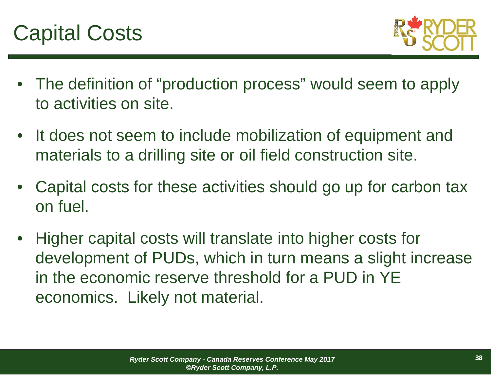

- The definition of "production process" would seem to apply to activities on site.
- It does not seem to include mobilization of equipment and materials to a drilling site or oil field construction site.
- • Capital costs for these activities should go up for carbon tax on fuel.
- • Higher capital costs will translate into higher costs for development of PUDs, which in turn means a slight increase in the economic reserve threshold for a PUD in YE economics. Likely not material.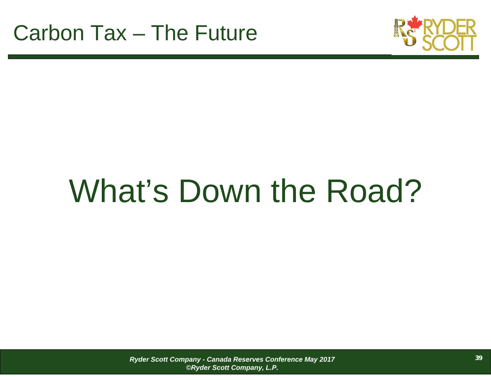

# What's Down the Road?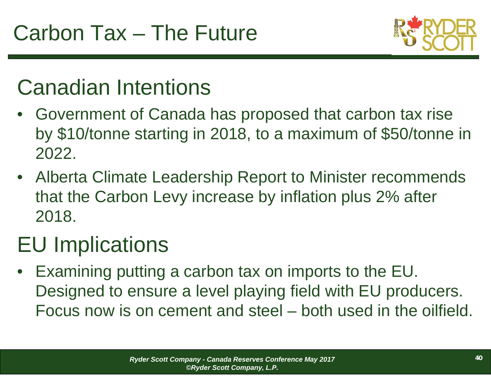

## Canadian Intentions

- Government of Canada has proposed that carbon tax rise by \$10/tonne starting in 2018, to a maximum of \$50/tonne in 2022.
- Alberta Climate Leadership Report to Minister recommends that the Carbon Levy increase by inflation plus 2% after 2018.

## EU Implications

• Examining putting a carbon tax on imports to the EU. Designed to ensure a level playing field with EU producers. Focus now is on cement and steel – both used in the oilfield.